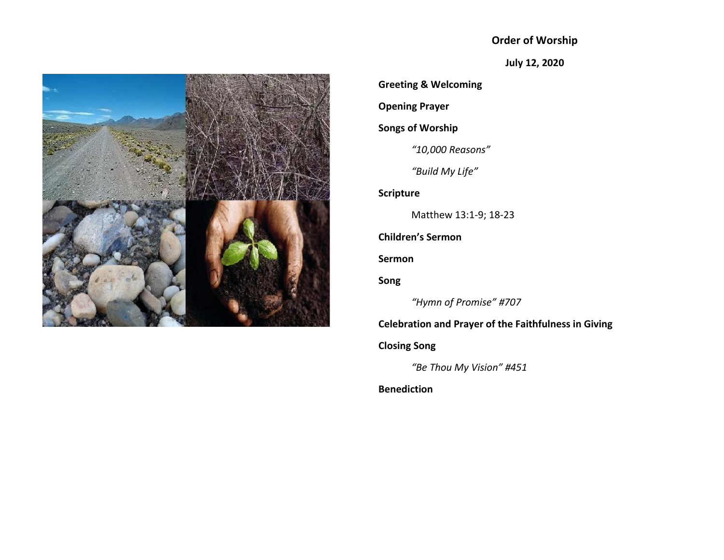# **Order of Worship**

**July 12, 2020**



**Greeting & Welcoming Opening Prayer Songs of Worship** *"10,000 Reasons" "Build My Life"* **Scripture** Matthew 13:1-9; 18-23 **Children's Sermon Sermon Song** *"Hymn of Promise" #707* **Celebration and Prayer of the Faithfulness in Giving Closing Song** *"Be Thou My Vision" #451* **Benediction**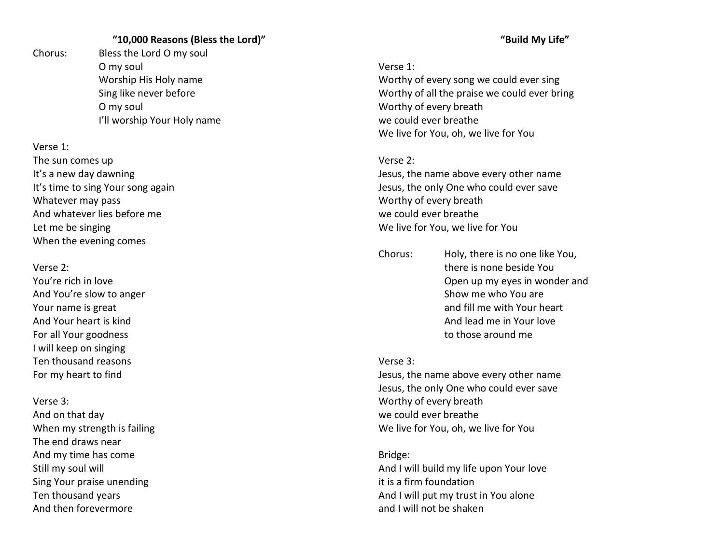# **"10,000 Reasons (Bless the Lord)"**

Chorus: Bless the Lord O my soul O my soul Worship His Holy name Sing like never before O my soul I'll worship Your Holy name

Verse 1:

The sun comes up It's a new day dawning It's time to sing Your song again Whatever may pass And whatever lies before me Let me be singing When the evening comes

Verse 2:

You're rich in love And You're slow to anger Your name is great And Your heart is kind For all Your goodness I will keep on singing Ten thousand reasons For my heart to find

Verse 3: And on that day When my strength is failing The end draws near And my time has come Still my soul will Sing Your praise unending Ten thousand years And then forevermore

#### **"Build My Life"**

### Verse 1:

Worthy of every song we could ever sing Worthy of all the praise we could ever bring Worthy of every breath we could ever breathe We live for You, oh, we live for You

#### Verse 2:

Jesus, the name above every other name Jesus, the only One who could ever save Worthy of every breath we could ever breathe We live for You, we live for You

Chorus: Holy, there is no one like You, there is none beside You Open up my eyes in wonder and Show me who You are and fill me with Your heart And lead me in Your love to those around me

# Verse 3:

Jesus, the name above every other name Jesus, the only One who could ever save Worthy of every breath we could ever breathe We live for You, oh, we live for You

Bridge: And I will build my life upon Your love it is a firm foundation And I will put my trust in You alone and I will not be shaken